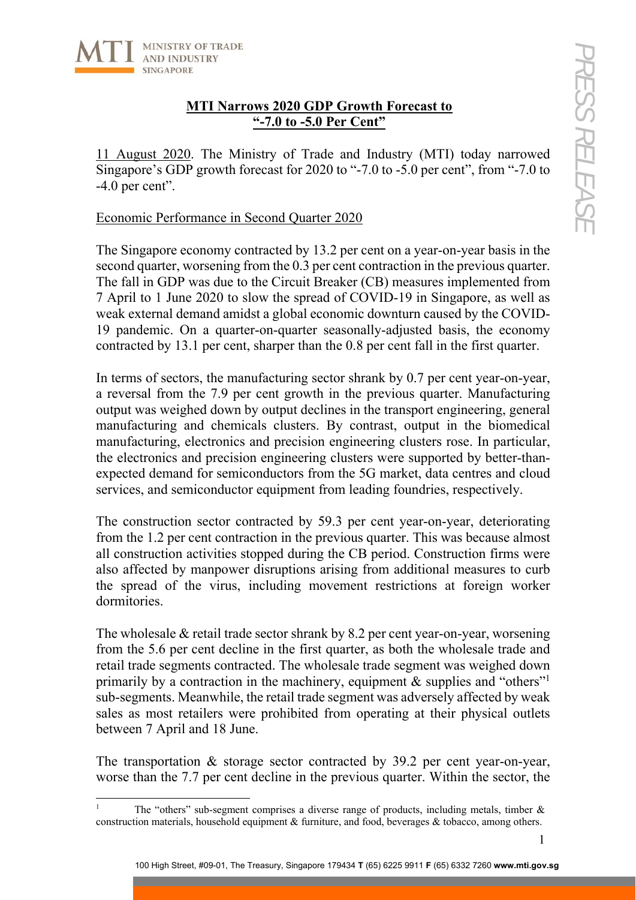

l

# **MTI Narrows 2020 GDP Growth Forecast to "-7.0 to -5.0 Per Cent"**

11 August 2020. The Ministry of Trade and Industry (MTI) today narrowed Singapore's GDP growth forecast for 2020 to "-7.0 to -5.0 per cent", from "-7.0 to -4.0 per cent".

## Economic Performance in Second Quarter 2020

The Singapore economy contracted by 13.2 per cent on a year-on-year basis in the second quarter, worsening from the 0.3 per cent contraction in the previous quarter. The fall in GDP was due to the Circuit Breaker (CB) measures implemented from 7 April to 1 June 2020 to slow the spread of COVID-19 in Singapore, as well as weak external demand amidst a global economic downturn caused by the COVID-19 pandemic. On a quarter-on-quarter seasonally-adjusted basis, the economy contracted by 13.1 per cent, sharper than the 0.8 per cent fall in the first quarter.

In terms of sectors, the manufacturing sector shrank by 0.7 per cent year-on-year, a reversal from the 7.9 per cent growth in the previous quarter. Manufacturing output was weighed down by output declines in the transport engineering, general manufacturing and chemicals clusters. By contrast, output in the biomedical manufacturing, electronics and precision engineering clusters rose. In particular, the electronics and precision engineering clusters were supported by better-thanexpected demand for semiconductors from the 5G market, data centres and cloud services, and semiconductor equipment from leading foundries, respectively.

The construction sector contracted by 59.3 per cent year-on-year, deteriorating from the 1.2 per cent contraction in the previous quarter. This was because almost all construction activities stopped during the CB period. Construction firms were also affected by manpower disruptions arising from additional measures to curb the spread of the virus, including movement restrictions at foreign worker dormitories.

The wholesale & retail trade sector shrank by 8.2 per cent year-on-year, worsening from the 5.6 per cent decline in the first quarter, as both the wholesale trade and retail trade segments contracted. The wholesale trade segment was weighed down primarily by a contraction in the machinery, equipment  $\&$  supplies and "others"<sup>1</sup> sub-segments. Meanwhile, the retail trade segment was adversely affected by weak sales as most retailers were prohibited from operating at their physical outlets between 7 April and 18 June.

The transportation & storage sector contracted by 39.2 per cent year-on-year, worse than the 7.7 per cent decline in the previous quarter. Within the sector, the

<sup>1</sup> The "others" sub-segment comprises a diverse range of products, including metals, timber & construction materials, household equipment & furniture, and food, beverages & tobacco, among others.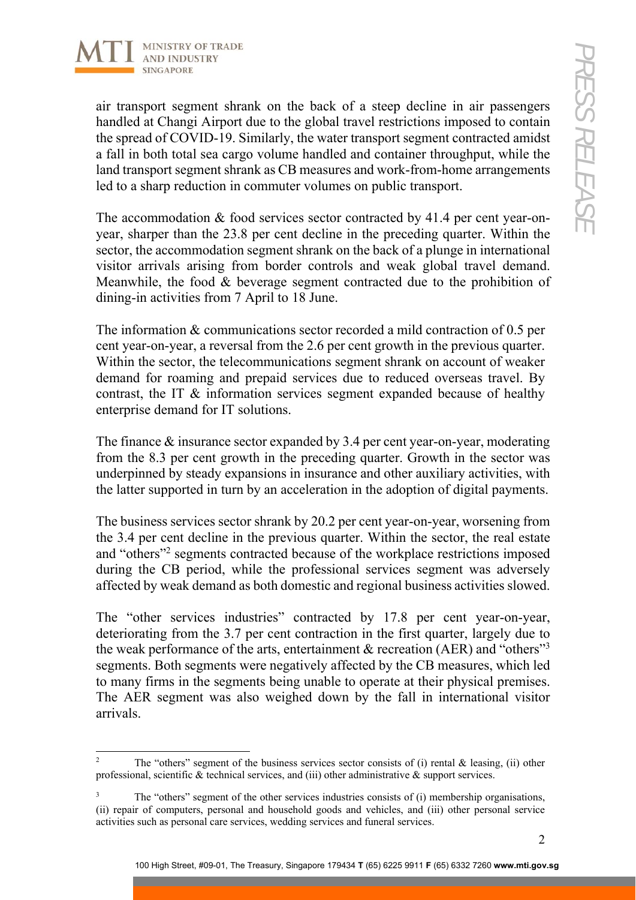

air transport segment shrank on the back of a steep decline in air passengers handled at Changi Airport due to the global travel restrictions imposed to contain the spread of COVID-19. Similarly, the water transport segment contracted amidst a fall in both total sea cargo volume handled and container throughput, while the land transport segment shrank as CB measures and work-from-home arrangements led to a sharp reduction in commuter volumes on public transport.

The accommodation  $\&$  food services sector contracted by 41.4 per cent year-onyear, sharper than the 23.8 per cent decline in the preceding quarter. Within the sector, the accommodation segment shrank on the back of a plunge in international visitor arrivals arising from border controls and weak global travel demand. Meanwhile, the food & beverage segment contracted due to the prohibition of dining-in activities from 7 April to 18 June.

The information & communications sector recorded a mild contraction of 0.5 per cent year-on-year, a reversal from the 2.6 per cent growth in the previous quarter. Within the sector, the telecommunications segment shrank on account of weaker demand for roaming and prepaid services due to reduced overseas travel. By contrast, the IT & information services segment expanded because of healthy enterprise demand for IT solutions.

The finance & insurance sector expanded by 3.4 per cent year-on-year, moderating from the 8.3 per cent growth in the preceding quarter. Growth in the sector was underpinned by steady expansions in insurance and other auxiliary activities, with the latter supported in turn by an acceleration in the adoption of digital payments.

The business services sector shrank by 20.2 per cent year-on-year, worsening from the 3.4 per cent decline in the previous quarter. Within the sector, the real estate and "others"<sup>2</sup> segments contracted because of the workplace restrictions imposed during the CB period, while the professional services segment was adversely affected by weak demand as both domestic and regional business activities slowed.

The "other services industries" contracted by 17.8 per cent year-on-year, deteriorating from the 3.7 per cent contraction in the first quarter, largely due to the weak performance of the arts, entertainment  $\&$  recreation (AER) and "others"<sup>3</sup> segments. Both segments were negatively affected by the CB measures, which led to many firms in the segments being unable to operate at their physical premises. The AER segment was also weighed down by the fall in international visitor arrivals.

 $\frac{1}{2}$  The "others" segment of the business services sector consists of (i) rental & leasing, (ii) other professional, scientific & technical services, and (iii) other administrative & support services.

<sup>3</sup> The "others" segment of the other services industries consists of (i) membership organisations, (ii) repair of computers, personal and household goods and vehicles, and (iii) other personal service activities such as personal care services, wedding services and funeral services.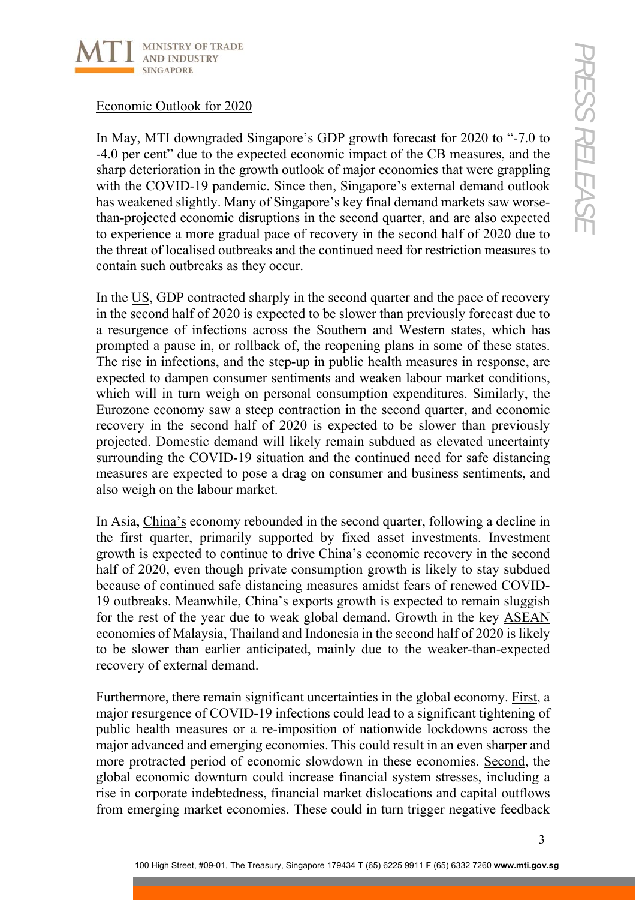

## Economic Outlook for 2020

In May, MTI downgraded Singapore's GDP growth forecast for 2020 to "-7.0 to -4.0 per cent" due to the expected economic impact of the CB measures, and the sharp deterioration in the growth outlook of major economies that were grappling with the COVID-19 pandemic. Since then, Singapore's external demand outlook has weakened slightly. Many of Singapore's key final demand markets saw worsethan-projected economic disruptions in the second quarter, and are also expected to experience a more gradual pace of recovery in the second half of 2020 due to the threat of localised outbreaks and the continued need for restriction measures to contain such outbreaks as they occur.

In the US, GDP contracted sharply in the second quarter and the pace of recovery in the second half of 2020 is expected to be slower than previously forecast due to a resurgence of infections across the Southern and Western states, which has prompted a pause in, or rollback of, the reopening plans in some of these states. The rise in infections, and the step-up in public health measures in response, are expected to dampen consumer sentiments and weaken labour market conditions, which will in turn weigh on personal consumption expenditures. Similarly, the Eurozone economy saw a steep contraction in the second quarter, and economic recovery in the second half of 2020 is expected to be slower than previously projected. Domestic demand will likely remain subdued as elevated uncertainty surrounding the COVID-19 situation and the continued need for safe distancing measures are expected to pose a drag on consumer and business sentiments, and also weigh on the labour market.

In Asia, China's economy rebounded in the second quarter, following a decline in the first quarter, primarily supported by fixed asset investments. Investment growth is expected to continue to drive China's economic recovery in the second half of 2020, even though private consumption growth is likely to stay subdued because of continued safe distancing measures amidst fears of renewed COVID-19 outbreaks. Meanwhile, China's exports growth is expected to remain sluggish for the rest of the year due to weak global demand. Growth in the key ASEAN economies of Malaysia, Thailand and Indonesia in the second half of 2020 is likely to be slower than earlier anticipated, mainly due to the weaker-than-expected recovery of external demand.

Furthermore, there remain significant uncertainties in the global economy. First, a major resurgence of COVID-19 infections could lead to a significant tightening of public health measures or a re-imposition of nationwide lockdowns across the major advanced and emerging economies. This could result in an even sharper and more protracted period of economic slowdown in these economies. Second, the global economic downturn could increase financial system stresses, including a rise in corporate indebtedness, financial market dislocations and capital outflows from emerging market economies. These could in turn trigger negative feedback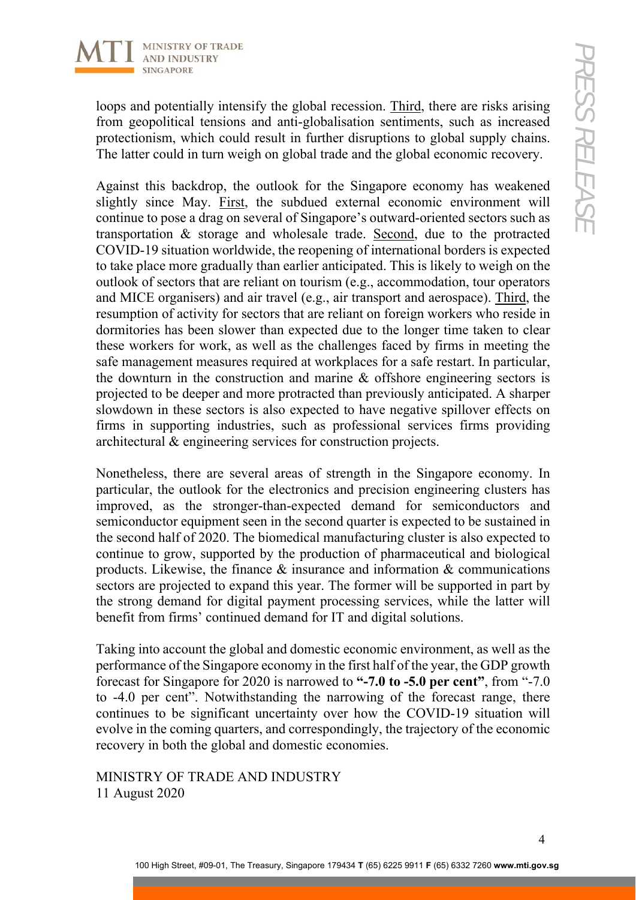

loops and potentially intensify the global recession. Third, there are risks arising from geopolitical tensions and anti-globalisation sentiments, such as increased protectionism, which could result in further disruptions to global supply chains. The latter could in turn weigh on global trade and the global economic recovery.

Against this backdrop, the outlook for the Singapore economy has weakened slightly since May. First, the subdued external economic environment will continue to pose a drag on several of Singapore's outward-oriented sectors such as transportation & storage and wholesale trade. Second, due to the protracted COVID-19 situation worldwide, the reopening of international borders is expected to take place more gradually than earlier anticipated. This is likely to weigh on the outlook of sectors that are reliant on tourism (e.g., accommodation, tour operators and MICE organisers) and air travel (e.g., air transport and aerospace). Third, the resumption of activity for sectors that are reliant on foreign workers who reside in dormitories has been slower than expected due to the longer time taken to clear these workers for work, as well as the challenges faced by firms in meeting the safe management measures required at workplaces for a safe restart. In particular, the downturn in the construction and marine & offshore engineering sectors is projected to be deeper and more protracted than previously anticipated. A sharper slowdown in these sectors is also expected to have negative spillover effects on firms in supporting industries, such as professional services firms providing architectural & engineering services for construction projects.

Nonetheless, there are several areas of strength in the Singapore economy. In particular, the outlook for the electronics and precision engineering clusters has improved, as the stronger-than-expected demand for semiconductors and semiconductor equipment seen in the second quarter is expected to be sustained in the second half of 2020. The biomedical manufacturing cluster is also expected to continue to grow, supported by the production of pharmaceutical and biological products. Likewise, the finance & insurance and information & communications sectors are projected to expand this year. The former will be supported in part by the strong demand for digital payment processing services, while the latter will benefit from firms' continued demand for IT and digital solutions.

Taking into account the global and domestic economic environment, as well as the performance of the Singapore economy in the first half of the year, the GDP growth forecast for Singapore for 2020 is narrowed to **"-7.0 to -5.0 per cent"**, from "-7.0 to -4.0 per cent". Notwithstanding the narrowing of the forecast range, there continues to be significant uncertainty over how the COVID-19 situation will evolve in the coming quarters, and correspondingly, the trajectory of the economic recovery in both the global and domestic economies.

MINISTRY OF TRADE AND INDUSTRY 11 August 2020